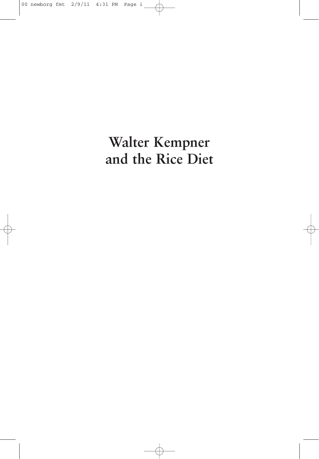# **Walter Kempner and the Rice Diet**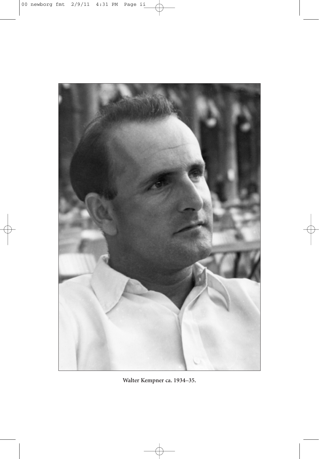

**Walter Kempner ca. 1934–35.**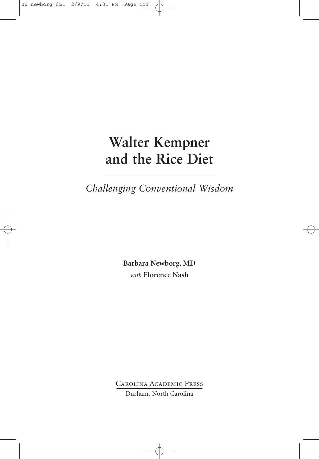## **Walter Kempner and the Rice Diet**

*Challenging Conventional Wisdom*

**Barbara Newborg, MD** *with* **Florence Nash**

Carolina Academic Press

Durham, North Carolina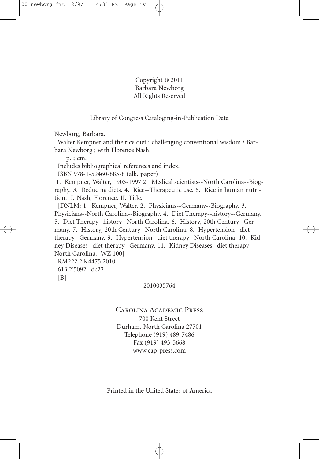Copyright © 2011 Barbara Newborg All Rights Reserved

Library of Congress Cataloging-in-Publication Data

Newborg, Barbara.

Walter Kempner and the rice diet : challenging conventional wisdom / Barbara Newborg ; with Florence Nash.

p. ; cm.

Includes bibliographical references and index.

ISBN 978-1-59460-885-8 (alk. paper)

1. Kempner, Walter, 1903-1997 2. Medical scientists--North Carolina--Biography. 3. Reducing diets. 4. Rice--Therapeutic use. 5. Rice in human nutrition. I. Nash, Florence. II. Title.

[DNLM: 1. Kempner, Walter. 2. Physicians--Germany--Biography. 3. Physicians--North Carolina--Biography. 4. Diet Therapy--history--Germany. 5. Diet Therapy--history--North Carolina. 6. History, 20th Century--Germany. 7. History, 20th Century--North Carolina. 8. Hypertension--diet therapy--Germany. 9. Hypertension--diet therapy--North Carolina. 10. Kidney Diseases--diet therapy--Germany. 11. Kidney Diseases--diet therapy-- North Carolina. WZ 100]

RM222.2.K4475 2010 613.2'5092--dc22  $[B]$ 

### 2010035764

### Carolina Academic Press

700 Kent Street Durham, North Carolina 27701 Telephone (919) 489-7486 Fax (919) 493-5668 www.cap-press.com

Printed in the United States of America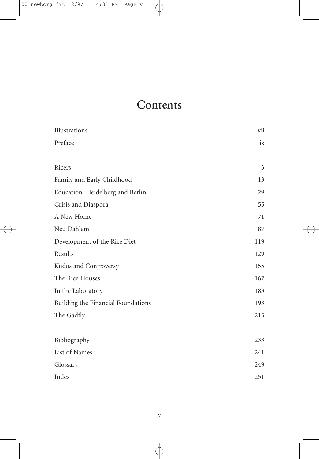### **Contents**

| Illustrations                      | vii |
|------------------------------------|-----|
| Preface                            | ix  |
| Ricers                             | 3   |
| Family and Early Childhood         | 13  |
| Education: Heidelberg and Berlin   | 29  |
| Crisis and Diaspora                | 55  |
| A New Home                         | 71  |
| Neu Dahlem                         | 87  |
| Development of the Rice Diet       | 119 |
| Results                            | 129 |
| Kudos and Controversy              | 155 |
| The Rice Houses                    | 167 |
| In the Laboratory                  | 183 |
| Building the Financial Foundations | 193 |
| The Gadfly                         | 215 |
| Bibliography                       | 233 |
| List of Names                      | 241 |
| Glossary                           | 249 |
| Index                              | 251 |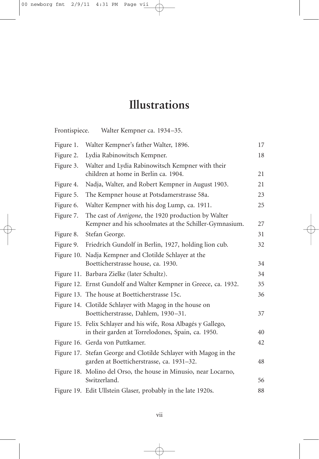## **Illustrations**

| Frontispiece. | Walter Kempner ca. 1934-35.                                                                                          |    |
|---------------|----------------------------------------------------------------------------------------------------------------------|----|
| Figure 1.     | Walter Kempner's father Walter, 1896.                                                                                | 17 |
| Figure 2.     | Lydia Rabinowitsch Kempner.                                                                                          | 18 |
| Figure 3.     | Walter and Lydia Rabinowitsch Kempner with their<br>children at home in Berlin ca. 1904.                             | 21 |
| Figure 4.     | Nadja, Walter, and Robert Kempner in August 1903.                                                                    | 21 |
| Figure 5.     | The Kempner house at Potsdamerstrasse 58a.                                                                           | 23 |
| Figure 6.     | Walter Kempner with his dog Lump, ca. 1911.                                                                          | 25 |
| Figure 7.     | The cast of Antigone, the 1920 production by Walter<br>Kempner and his schoolmates at the Schiller-Gymnasium.        | 27 |
| Figure 8.     | Stefan George.                                                                                                       | 31 |
| Figure 9.     | Friedrich Gundolf in Berlin, 1927, holding lion cub.                                                                 | 32 |
|               | Figure 10. Nadja Kempner and Clotilde Schlayer at the<br>Boetticherstrasse house, ca. 1930.                          | 34 |
|               | Figure 11. Barbara Zielke (later Schultz).                                                                           | 34 |
|               | Figure 12. Ernst Gundolf and Walter Kempner in Greece, ca. 1932.                                                     | 35 |
|               | Figure 13. The house at Boetticherstrasse 15c.                                                                       | 36 |
|               | Figure 14. Clotilde Schlayer with Magog in the house on<br>Boetticherstrasse, Dahlem, 1930-31.                       | 37 |
|               | Figure 15. Felix Schlayer and his wife, Rosa Albagés y Gallego,<br>in their garden at Torrelodones, Spain, ca. 1950. | 40 |
|               | Figure 16. Gerda von Puttkamer.                                                                                      | 42 |
|               | Figure 17. Stefan George and Clotilde Schlayer with Magog in the<br>garden at Boetticherstrasse, ca. 1931-32.        | 48 |
|               | Figure 18. Molino del Orso, the house in Minusio, near Locarno,<br>Switzerland.                                      | 56 |
|               | Figure 19. Edit Ullstein Glaser, probably in the late 1920s.                                                         | 88 |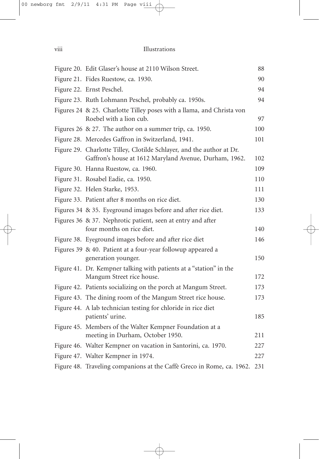| Figure 20. Edit Glaser's house at 2110 Wilson Street.                                                                           | 88  |
|---------------------------------------------------------------------------------------------------------------------------------|-----|
| Figure 21. Fides Ruestow, ca. 1930.                                                                                             | 90  |
| Figure 22. Ernst Peschel.                                                                                                       | 94  |
| Figure 23. Ruth Lohmann Peschel, probably ca. 1950s.                                                                            | 94  |
| Figures 24 & 25. Charlotte Tilley poses with a llama, and Christa von<br>Roebel with a lion cub.                                | 97  |
| Figures 26 & 27. The author on a summer trip, ca. 1950.                                                                         | 100 |
| Figure 28. Mercedes Gaffron in Switzerland, 1941.                                                                               | 101 |
| Figure 29. Charlotte Tilley, Clotilde Schlayer, and the author at Dr.<br>Gaffron's house at 1612 Maryland Avenue, Durham, 1962. | 102 |
| Figure 30. Hanna Ruestow, ca. 1960.                                                                                             | 109 |
| Figure 31. Rosabel Eadie, ca. 1950.                                                                                             | 110 |
| Figure 32. Helen Starke, 1953.                                                                                                  | 111 |
| Figure 33. Patient after 8 months on rice diet.                                                                                 | 130 |
| Figures 34 & 35. Eyeground images before and after rice diet.                                                                   | 133 |
| Figures 36 & 37. Nephrotic patient, seen at entry and after<br>four months on rice diet.                                        | 140 |
| Figure 38. Eyeground images before and after rice diet                                                                          | 146 |
| Figures 39 & 40. Patient at a four-year followup appeared a<br>generation younger.                                              | 150 |
| Figure 41. Dr. Kempner talking with patients at a "station" in the<br>Mangum Street rice house.                                 | 172 |
| Figure 42. Patients socializing on the porch at Mangum Street.                                                                  | 173 |
| Figure 43. The dining room of the Mangum Street rice house.                                                                     | 173 |
| Figure 44. A lab technician testing for chloride in rice diet<br>patients' urine.                                               | 185 |
| Figure 45. Members of the Walter Kempner Foundation at a<br>meeting in Durham, October 1950.                                    | 211 |
| Figure 46. Walter Kempner on vacation in Santorini, ca. 1970.                                                                   | 227 |
| Figure 47. Walter Kempner in 1974.                                                                                              | 227 |
| Figure 48. Traveling companions at the Caffè Greco in Rome, ca. 1962.                                                           | 231 |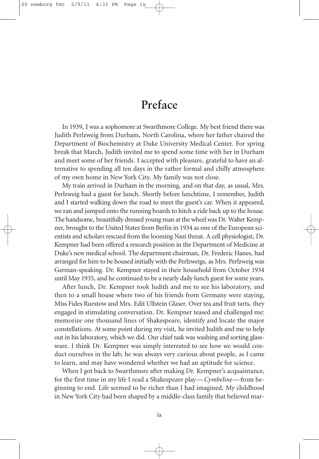### **Preface**

In 1939, I was a sophomore at Swarthmore College. My best friend there was Judith Perlzweig from Durham, North Carolina, where her father chaired the Department of Biochemistry at Duke University Medical Center. For spring break that March, Judith invited me to spend some time with her in Durham and meet some of her friends. I accepted with pleasure, grateful to have an alternative to spending all ten days in the rather formal and chilly atmosphere of my own home in New York City. My family was not close.

My train arrived in Durham in the morning, and on that day, as usual, Mrs. Perlzweig had a guest for lunch. Shortly before lunchtime, I remember, Judith and I started walking down the road to meet the guest's car. When it appeared, we ran and jumped onto the running boards to hitch a ride back up to the house. The handsome, beautifully dressed young man at the wheel was Dr. Walter Kempner, brought to the United States from Berlin in 1934 as one of the European scientists and scholars rescued from the looming Nazi threat. A cell physiologist, Dr. Kempner had been offered a research position in the Department of Medicine at Duke's new medical school. The department chairman, Dr. Frederic Hanes, had arranged for him to be housed initially with the Perlzweigs, as Mrs. Perlzweig was German-speaking. Dr. Kempner stayed in their household from October 1934 until May 1935, and he continued to be a nearly daily lunch guest for some years.

After lunch, Dr. Kempner took Judith and me to see his laboratory, and then to a small house where two of his friends from Germany were staying, Miss Fides Ruestow and Mrs. Edit Ullstein Glaser. Over tea and fruit tarts, they engaged in stimulating conversation. Dr. Kempner teased and challenged me: memorize one thousand lines of Shakespeare, identify and locate the major constellations. At some point during my visit, he invited Judith and me to help out in his laboratory, which we did. Our chief task was washing and sorting glassware. I think Dr. Kempner was simply interested to see how we would conduct ourselves in the lab; he was always very curious about people, as I came to learn, and may have wondered whether we had an aptitude for science.

When I got back to Swarthmore after making Dr. Kempner's acquaintance, for the first time in my life I read a Shakespeare play—*Cymbeline*—from beginning to end. Life seemed to be richer than I had imagined. My childhood in New York City had been shaped by a middle-class family that believed mar-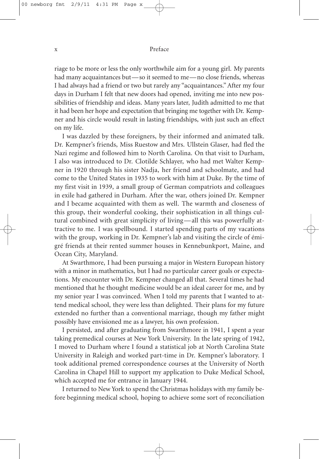#### x Preface

riage to be more or less the only worthwhile aim for a young girl. My parents had many acquaintances but—so it seemed to me—no close friends, whereas I had always had a friend or two but rarely any "acquaintances."After my four days in Durham I felt that new doors had opened, inviting me into new possibilities of friendship and ideas. Many years later, Judith admitted to me that it had been her hope and expectation that bringing me together with Dr. Kempner and his circle would result in lasting friendships, with just such an effect on my life.

I was dazzled by these foreigners, by their informed and animated talk. Dr. Kempner's friends, Miss Ruestow and Mrs. Ullstein Glaser, had fled the Nazi regime and followed him to North Carolina. On that visit to Durham, I also was introduced to Dr. Clotilde Schlayer, who had met Walter Kempner in 1920 through his sister Nadja, her friend and schoolmate, and had come to the United States in 1935 to work with him at Duke. By the time of my first visit in 1939, a small group of German compatriots and colleagues in exile had gathered in Durham. After the war, others joined Dr. Kempner and I became acquainted with them as well. The warmth and closeness of this group, their wonderful cooking, their sophistication in all things cultural combined with great simplicity of living—all this was powerfully attractive to me. I was spellbound. I started spending parts of my vacations with the group, working in Dr. Kempner's lab and visiting the circle of émigré friends at their rented summer houses in Kennebunkport, Maine, and Ocean City, Maryland.

At Swarthmore, I had been pursuing a major in Western European history with a minor in mathematics, but I had no particular career goals or expectations. My encounter with Dr. Kempner changed all that. Several times he had mentioned that he thought medicine would be an ideal career for me, and by my senior year I was convinced. When I told my parents that I wanted to attend medical school, they were less than delighted. Their plans for my future extended no further than a conventional marriage, though my father might possibly have envisioned me as a lawyer, his own profession.

I persisted, and after graduating from Swarthmore in 1941, I spent a year taking premedical courses at New York University. In the late spring of 1942, I moved to Durham where I found a statistical job at North Carolina State University in Raleigh and worked part-time in Dr. Kempner's laboratory. I took additional premed correspondence courses at the University of North Carolina in Chapel Hill to support my application to Duke Medical School, which accepted me for entrance in January 1944.

I returned to New York to spend the Christmas holidays with my family before beginning medical school, hoping to achieve some sort of reconciliation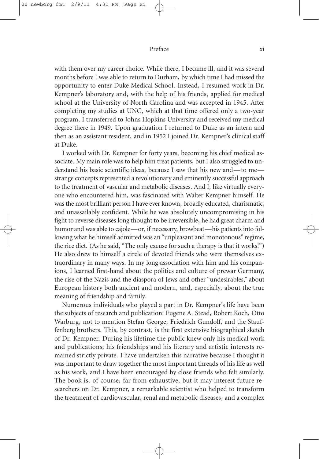#### Preface xi

with them over my career choice. While there, I became ill, and it was several months before I was able to return to Durham, by which time I had missed the opportunity to enter Duke Medical School. Instead, I resumed work in Dr. Kempner's laboratory and, with the help of his friends, applied for medical school at the University of North Carolina and was accepted in 1945. After completing my studies at UNC, which at that time offered only a two-year program, I transferred to Johns Hopkins University and received my medical degree there in 1949. Upon graduation I returned to Duke as an intern and then as an assistant resident, and in 1952 I joined Dr. Kempner's clinical staff at Duke.

I worked with Dr. Kempner for forty years, becoming his chief medical associate. My main role was to help him treat patients, but I also struggled to understand his basic scientific ideas, because I saw that his new and—to me strange concepts represented a revolutionary and eminently successful approach to the treatment of vascular and metabolic diseases. And I, like virtually everyone who encountered him, was fascinated with Walter Kempner himself. He was the most brilliant person I have ever known, broadly educated, charismatic, and unassailably confident. While he was absolutely uncompromising in his fight to reverse diseases long thought to be irreversible, he had great charm and humor and was able to cajole—or, if necessary, browbeat—his patients into following what he himself admitted was an "unpleasant and monotonous" regime, the rice diet. (As he said, "The only excuse for such a therapy is that it works!") He also drew to himself a circle of devoted friends who were themselves extraordinary in many ways. In my long association with him and his companions, I learned first-hand about the politics and culture of prewar Germany, the rise of the Nazis and the diaspora of Jews and other "undesirables," about European history both ancient and modern, and, especially, about the true meaning of friendship and family.

Numerous individuals who played a part in Dr. Kempner's life have been the subjects of research and publication: Eugene A. Stead, Robert Koch, Otto Warburg, not to mention Stefan George, Friedrich Gundolf, and the Stauffenberg brothers. This, by contrast, is the first extensive biographical sketch of Dr. Kempner. During his lifetime the public knew only his medical work and publications; his friendships and his literary and artistic interests remained strictly private. I have undertaken this narrative because I thought it was important to draw together the most important threads of his life as well as his work, and I have been encouraged by close friends who felt similarly. The book is, of course, far from exhaustive, but it may interest future researchers on Dr. Kempner, a remarkable scientist who helped to transform the treatment of cardiovascular, renal and metabolic diseases, and a complex